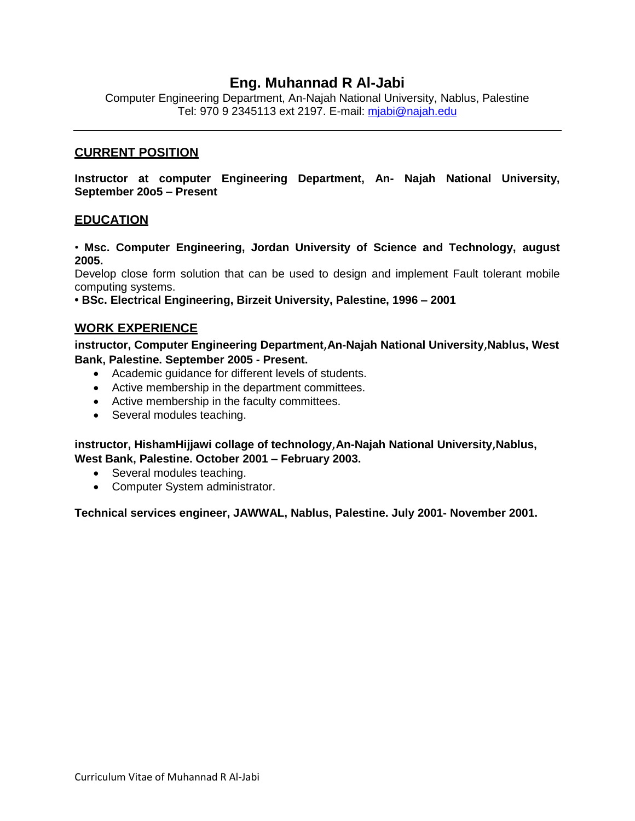## **Eng. Muhannad R Al-Jabi**

Computer Engineering Department, An-Najah National University, Nablus, Palestine Tel: 970 9 2345113 ext 2197. E-mail: [mjabi@najah.edu](mailto:mjabi@najah.edu)

#### **CURRENT POSITION**

**Instructor at computer Engineering Department, An- Najah National University, September 20o5 – Present**

#### **EDUCATION**

• **Msc. Computer Engineering, Jordan University of Science and Technology, august 2005.**

Develop close form solution that can be used to design and implement Fault tolerant mobile computing systems.

**• BSc. Electrical Engineering, Birzeit University, Palestine, 1996 – 2001**

#### **WORK EXPERIENCE**

**instructor, Computer Engineering Department**,**An-Najah National University**,**Nablus, West Bank, Palestine. September 2005 - Present.**

- Academic guidance for different levels of students.
- Active membership in the department committees.
- Active membership in the faculty committees.
- Several modules teaching.

**instructor, HishamHijjawi collage of technology**,**An-Najah National University**,**Nablus, West Bank, Palestine. October 2001 – February 2003.**

- Several modules teaching.
- Computer System administrator.

**Technical services engineer, JAWWAL, Nablus, Palestine. July 2001- November 2001.**